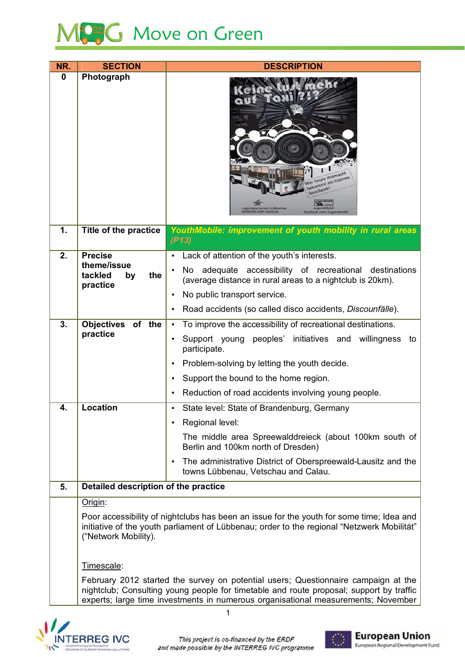

| NR.      | <b>SECTION</b>                                                                                                                                                                                                 | <b>DESCRIPTION</b>                                                                                                  |  |
|----------|----------------------------------------------------------------------------------------------------------------------------------------------------------------------------------------------------------------|---------------------------------------------------------------------------------------------------------------------|--|
| $\bf{0}$ | Photograph                                                                                                                                                                                                     | Ver heute mitmacht<br>sekommt ein kleines<br>ebook.com/JupaLau<br>facebook.com/Jugendmobil                          |  |
| 1.       | <b>Title of the practice</b>                                                                                                                                                                                   | YouthMobile: improvement of youth mobility in rural areas<br>(P13)                                                  |  |
| 2.       | <b>Precise</b>                                                                                                                                                                                                 | Lack of attention of the youth's interests.                                                                         |  |
|          | theme/issue<br>tackled<br>the<br>by                                                                                                                                                                            | No adequate accessibility of recreational destinations<br>(average distance in rural areas to a nightclub is 20km). |  |
|          | practice                                                                                                                                                                                                       | No public transport service.<br>$\bullet$                                                                           |  |
|          |                                                                                                                                                                                                                | Road accidents (so called disco accidents, Discounfälle).<br>$\bullet$                                              |  |
| 3.       | Objectives of the                                                                                                                                                                                              | To improve the accessibility of recreational destinations.<br>$\bullet$                                             |  |
|          | practice                                                                                                                                                                                                       | Support young peoples' initiatives and willingness to<br>$\bullet$<br>participate.                                  |  |
|          |                                                                                                                                                                                                                | Problem-solving by letting the youth decide.<br>$\bullet$                                                           |  |
|          |                                                                                                                                                                                                                | Support the bound to the home region.<br>٠                                                                          |  |
|          |                                                                                                                                                                                                                | Reduction of road accidents involving young people.                                                                 |  |
| 4.       | Location                                                                                                                                                                                                       | State level: State of Brandenburg, Germany                                                                          |  |
|          |                                                                                                                                                                                                                | Regional level:<br>$\bullet$                                                                                        |  |
|          |                                                                                                                                                                                                                | The middle area Spreewalddreieck (about 100km south of<br>Berlin and 100km north of Dresden)                        |  |
|          |                                                                                                                                                                                                                | The administrative District of Oberspreewald-Lausitz and the<br>$\bullet$<br>towns Lübbenau, Vetschau and Calau.    |  |
| 5.       | Detailed description of the practice                                                                                                                                                                           |                                                                                                                     |  |
|          | Origin:                                                                                                                                                                                                        |                                                                                                                     |  |
|          | Poor accessibility of nightclubs has been an issue for the youth for some time; Idea and<br>initiative of the youth parliament of Lübbenau; order to the regional "Netzwerk Mobilität"<br>("Network Mobility). |                                                                                                                     |  |
|          | Timescale:                                                                                                                                                                                                     |                                                                                                                     |  |
|          |                                                                                                                                                                                                                | February 2012 started the survey on potential users; Questionnaire campaign at the                                  |  |
|          | nightclub; Consulting young people for timetable and route proposal; support by traffic<br>experts; large time investments in numerous organisational measurements; November                                   |                                                                                                                     |  |





 $\overline{1}$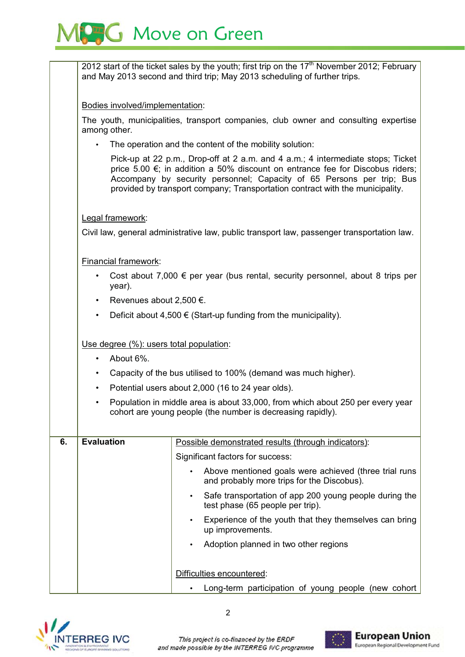

2012 start of the ticket sales by the youth; first trip on the 17<sup>th</sup> November 2012; February and May 2013 second and third trip; May 2013 scheduling of further trips.

Bodies involved/implementation:

The vouth, municipalities, transport companies, club owner and consulting expertise among other.

The operation and the content of the mobility solution:

Pick-up at 22 p.m., Drop-off at 2 a.m. and 4 a.m.; 4 intermediate stops; Ticket price 5.00 €; in addition a 50% discount on entrance fee for Discobus riders; Accompany by security personnel; Capacity of 65 Persons per trip; Bus provided by transport company; Transportation contract with the municipality.

## Legal framework:

Civil law, general administrative law, public transport law, passenger transportation law.

## Financial framework:

- Cost about 7,000  $\epsilon$  per year (bus rental, security personnel, about 8 trips per year).
- Revenues about 2,500 €.
- Deficit about 4,500  $\in$  (Start-up funding from the municipality).

## Use degree (%): users total population:

- About 6%.
- Capacity of the bus utilised to 100% (demand was much higher).
- Potential users about 2,000 (16 to 24 year olds).
- Population in middle area is about 33,000, from which about 250 per every year cohort are young people (the number is decreasing rapidly).

| 6. | <b>Evaluation</b> | Possible demonstrated results (through indicators):                                                              |
|----|-------------------|------------------------------------------------------------------------------------------------------------------|
|    |                   | Significant factors for success:                                                                                 |
|    |                   | Above mentioned goals were achieved (three trial runs<br>$\bullet$<br>and probably more trips for the Discobus). |
|    |                   | Safe transportation of app 200 young people during the<br>٠<br>test phase (65 people per trip).                  |
|    |                   | Experience of the youth that they themselves can bring<br>$\bullet$<br>up improvements.                          |
|    |                   | Adoption planned in two other regions<br>٠                                                                       |
|    |                   | Difficulties encountered:                                                                                        |
|    |                   | Long-term participation of young people (new cohort                                                              |